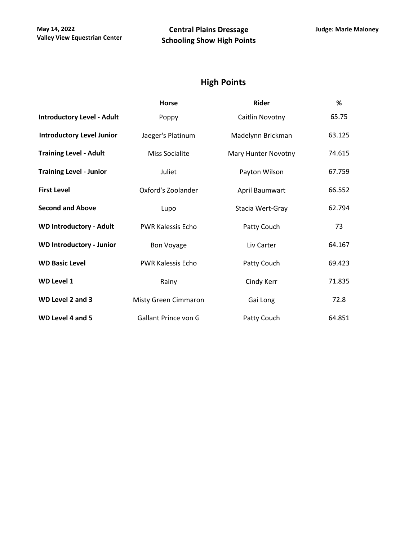## **High Points**

|                                   | <b>Horse</b>             | Rider               | %      |
|-----------------------------------|--------------------------|---------------------|--------|
| <b>Introductory Level - Adult</b> | Poppy                    | Caitlin Novotny     | 65.75  |
| <b>Introductory Level Junior</b>  | Jaeger's Platinum        | Madelynn Brickman   | 63.125 |
| <b>Training Level - Adult</b>     | Miss Socialite           | Mary Hunter Novotny | 74.615 |
| <b>Training Level - Junior</b>    | Juliet                   | Payton Wilson       | 67.759 |
| <b>First Level</b>                | Oxford's Zoolander       | April Baumwart      | 66.552 |
| <b>Second and Above</b>           | Lupo                     | Stacia Wert-Gray    | 62.794 |
| <b>WD Introductory - Adult</b>    | <b>PWR Kalessis Echo</b> | Patty Couch         | 73     |
| <b>WD Introductory - Junior</b>   | <b>Bon Voyage</b>        | Liv Carter          | 64.167 |
| <b>WD Basic Level</b>             | <b>PWR Kalessis Echo</b> | Patty Couch         | 69.423 |
| <b>WD Level 1</b>                 | Rainy                    | Cindy Kerr          | 71.835 |
| WD Level 2 and 3                  | Misty Green Cimmaron     | Gai Long            | 72.8   |
| WD Level 4 and 5                  | Gallant Prince von G     | Patty Couch         | 64.851 |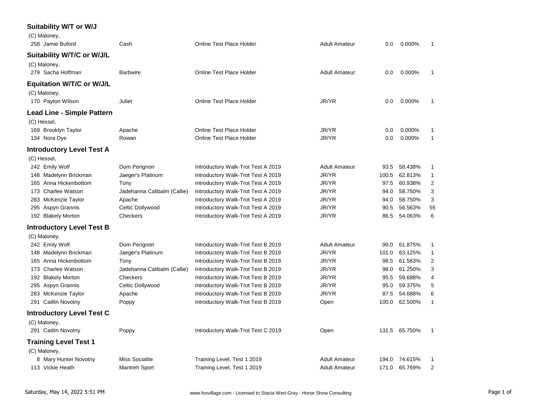| Suitability W/T or W/J<br>(C) Maloney,     |                             |                                    |                      |         |               |                |
|--------------------------------------------|-----------------------------|------------------------------------|----------------------|---------|---------------|----------------|
| 258 Jamie Buford                           | Cash                        | Online Test Place Holder           | <b>Adult Amateur</b> | 0.0     | 0.000%        | 1              |
| Suitability W/T/C or W/J/L<br>(C) Maloney, |                             |                                    |                      |         |               |                |
| 279 Sacha Hoffman                          | <b>Barbwire</b>             | Online Test Place Holder           | <b>Adult Amateur</b> | $0.0\,$ | 0.000%        | 1              |
| <b>Equitation W/T/C or W/J/L</b>           |                             |                                    |                      |         |               |                |
| (C) Maloney,<br>170 Payton Wilson          | Juliet                      | <b>Online Test Place Holder</b>    | JR/YR                | 0.0     | 0.000%        | $\mathbf{1}$   |
| <b>Lead Line - Simple Pattern</b>          |                             |                                    |                      |         |               |                |
| (C) Hessel,                                |                             |                                    |                      |         |               |                |
| 169 Brooklyn Taylor                        | Apache                      | Online Test Place Holder           | JR/YR                | 0.0     | 0.000%        | 1              |
| 134 Nora Dye                               | Rowan                       | Online Test Place Holder           | JR/YR                | 0.0     | 0.000%        | $\mathbf{1}$   |
| <b>Introductory Level Test A</b>           |                             |                                    |                      |         |               |                |
| (C) Hessel,                                |                             |                                    |                      |         |               |                |
| 242 Emily Wolf                             | Dom Perignon                | Introductory Walk-Trot Test A 2019 | <b>Adult Amateur</b> | 93.5    | 58.438%       | 1              |
| 148 Madelynn Brickman                      | Jaeger's Platinum           | Introductory Walk-Trot Test A 2019 | JR/YR                | 100.5   | 62.813%       | $\mathbf{1}$   |
| 165 Anna Hickenbottom                      | Tony                        | Introductory Walk-Trot Test A 2019 | JR/YR                | 97.5    | 60.938%       | $\overline{2}$ |
| 173 Charlee Watson                         | Jadehanna Calibalm (Callie) | Introductory Walk-Trot Test A 2019 | JR/YR                | 94.0    | 58.750%       | 3              |
| 283 McKenzie Taylor                        | Apache                      | Introductory Walk-Trot Test A 2019 | JR/YR                | 94.0    | 58.750%       | 3              |
| 295 Aspyn Grannis                          | Celtic Dollywood            | Introductory Walk-Trot Test A 2019 | JR/YR                | 90.5    | 56.563%       | 55             |
| 192 Blakely Morton                         | Checkers                    | Introductory Walk-Trot Test A 2019 | JR/YR                | 86.5    | 54.063%       | 6              |
| <b>Introductory Level Test B</b>           |                             |                                    |                      |         |               |                |
| (C) Maloney,                               |                             |                                    |                      |         |               |                |
| 242 Emily Wolf                             | Dom Perignon                | Introductory Walk-Trot Test B 2019 | <b>Adult Amateur</b> | 99.0    | 61.875%       | 1              |
| 148 Madelynn Brickman                      | Jaeger's Platinum           | Introductory Walk-Trot Test B 2019 | JR/YR                | 101.0   | 63.125%       | $\mathbf{1}$   |
| 165 Anna Hickenbottom                      | Tony                        | Introductory Walk-Trot Test B 2019 | JR/YR                | 98.5    | 61.563%       | 2              |
| 173 Charlee Watson                         | Jadehanna Calibalm (Callie) | Introductory Walk-Trot Test B 2019 | JR/YR                | 98.0    | 61.250%       | 3              |
| 192 Blakely Morton                         | Checkers                    | Introductory Walk-Trot Test B 2019 | JR/YR                | 95.5    | 59.688%       | $\overline{4}$ |
| 295 Aspyn Grannis                          | Celtic Dollywood            | Introductory Walk-Trot Test B 2019 | JR/YR                | 95.0    | 59.375%       | 5              |
| 283 McKenzie Taylor                        | Apache                      | Introductory Walk-Trot Test B 2019 | JR/YR                | 87.5    | 54.688%       | 6              |
| 291 Caitlin Novotny                        | Poppy                       | Introductory Walk-Trot Test B 2019 | Open                 | 100.0   | 62.500%       | $\mathbf{1}$   |
| <b>Introductory Level Test C</b>           |                             |                                    |                      |         |               |                |
| (C) Maloney,                               |                             |                                    |                      |         |               |                |
| 291 Caitlin Novotny                        | Poppy                       | Introductory Walk-Trot Test C 2019 | Open                 |         | 131.5 65.750% | 1              |
| <b>Training Level Test 1</b>               |                             |                                    |                      |         |               |                |
| (C) Maloney,                               |                             |                                    |                      |         |               |                |
| 8 Mary Hunter Novotny                      | <b>Miss Socialite</b>       | Training Level, Test 1 2019        | <b>Adult Amateur</b> |         | 194.0 74.615% | 1              |
| 113 Vickie Heath                           | Mantreh Sport               | Training Level, Test 1 2019        | <b>Adult Amateur</b> |         | 171.0 65.769% | $\overline{2}$ |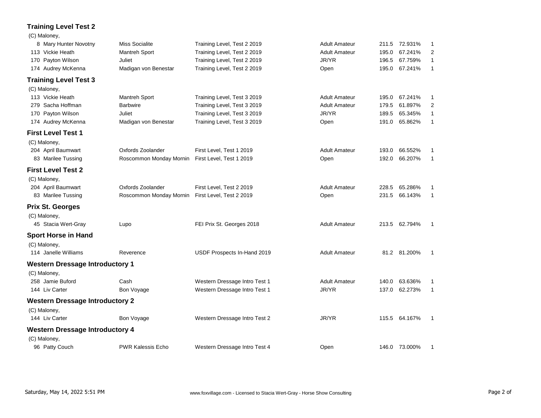## **Training Level Test 2**

| (C) Maloney,                           |                          |                               |                      |       |               |              |
|----------------------------------------|--------------------------|-------------------------------|----------------------|-------|---------------|--------------|
| 8 Mary Hunter Novotny                  | Miss Socialite           | Training Level, Test 2 2019   | <b>Adult Amateur</b> | 211.5 | 72.931%       | 1            |
| 113 Vickie Heath                       | Mantreh Sport            | Training Level, Test 2 2019   | <b>Adult Amateur</b> | 195.0 | 67.241%       | 2            |
| 170 Payton Wilson                      | Juliet                   | Training Level, Test 2 2019   | JR/YR                | 196.5 | 67.759%       | 1            |
| 174 Audrey McKenna                     | Madigan von Benestar     | Training Level, Test 2 2019   | Open                 | 195.0 | 67.241%       | $\mathbf{1}$ |
| <b>Training Level Test 3</b>           |                          |                               |                      |       |               |              |
| (C) Maloney,                           |                          |                               |                      |       |               |              |
| 113 Vickie Heath                       | Mantreh Sport            | Training Level, Test 3 2019   | <b>Adult Amateur</b> | 195.0 | 67.241%       | 1            |
| 279 Sacha Hoffman                      | <b>Barbwire</b>          | Training Level, Test 3 2019   | <b>Adult Amateur</b> | 179.5 | 61.897%       | 2            |
| 170 Payton Wilson                      | Juliet                   | Training Level, Test 3 2019   | JR/YR                | 189.5 | 65.345%       | $\mathbf{1}$ |
| 174 Audrey McKenna                     | Madigan von Benestar     | Training Level, Test 3 2019   | Open                 | 191.0 | 65.862%       | 1            |
| <b>First Level Test 1</b>              |                          |                               |                      |       |               |              |
| (C) Maloney,                           |                          |                               |                      |       |               |              |
| 204 April Baumwart                     | Oxfords Zoolander        | First Level, Test 1 2019      | <b>Adult Amateur</b> | 193.0 | 66.552%       | 1            |
| 83 Marilee Tussing                     | Roscommon Monday Mornin  | First Level, Test 1 2019      | Open                 | 192.0 | 66.207%       | $\mathbf{1}$ |
| <b>First Level Test 2</b>              |                          |                               |                      |       |               |              |
| (C) Maloney,                           |                          |                               |                      |       |               |              |
| 204 April Baumwart                     | Oxfords Zoolander        | First Level, Test 2 2019      | <b>Adult Amateur</b> | 228.5 | 65.286%       | 1            |
| 83 Marilee Tussing                     | Roscommon Monday Mornin  | First Level, Test 2 2019      | Open                 | 231.5 | 66.143%       | $\mathbf{1}$ |
| <b>Prix St. Georges</b>                |                          |                               |                      |       |               |              |
| (C) Maloney,                           |                          |                               |                      |       |               |              |
| 45 Stacia Wert-Gray                    | Lupo                     | FEI Prix St. Georges 2018     | <b>Adult Amateur</b> |       | 213.5 62.794% | -1           |
| <b>Sport Horse in Hand</b>             |                          |                               |                      |       |               |              |
| (C) Maloney,                           |                          |                               |                      |       |               |              |
| 114 Janelle Williams                   | Reverence                | USDF Prospects In-Hand 2019   | <b>Adult Amateur</b> |       | 81.2 81.200%  | -1           |
| <b>Western Dressage Introductory 1</b> |                          |                               |                      |       |               |              |
| (C) Maloney,                           |                          |                               |                      |       |               |              |
| 258 Jamie Buford                       | Cash                     | Western Dressage Intro Test 1 | <b>Adult Amateur</b> | 140.0 | 63.636%       | 1            |
| 144 Liv Carter                         | Bon Voyage               | Western Dressage Intro Test 1 | JR/YR                | 137.0 | 62.273%       | $\mathbf{1}$ |
| <b>Western Dressage Introductory 2</b> |                          |                               |                      |       |               |              |
| (C) Maloney,                           |                          |                               |                      |       |               |              |
| 144 Liv Carter                         | Bon Voyage               | Western Dressage Intro Test 2 | JR/YR                |       | 115.5 64.167% | -1           |
| <b>Western Dressage Introductory 4</b> |                          |                               |                      |       |               |              |
| (C) Maloney,                           |                          |                               |                      |       |               |              |
| 96 Patty Couch                         | <b>PWR Kalessis Echo</b> | Western Dressage Intro Test 4 | Open                 |       | 146.0 73.000% | -1           |
|                                        |                          |                               |                      |       |               |              |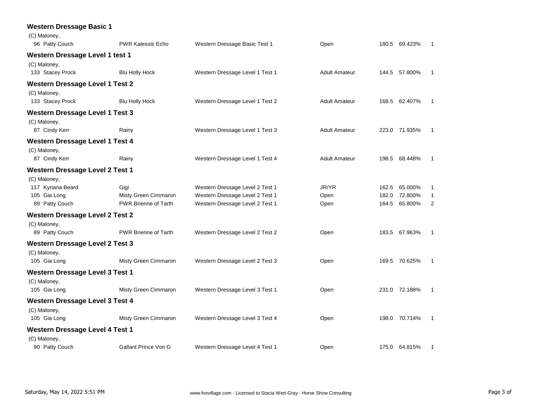| <b>Western Dressage Basic 1</b>        |                          |                                 |                      |       |               |                |
|----------------------------------------|--------------------------|---------------------------------|----------------------|-------|---------------|----------------|
| (C) Maloney,                           |                          |                                 |                      |       |               |                |
| 96 Patty Couch                         | <b>PWR Kalessis Echo</b> | Western Dressage Basic Test 1   | Open                 |       | 180.5 69.423% | $\overline{1}$ |
| Western Dressage Level 1 test 1        |                          |                                 |                      |       |               |                |
| (C) Maloney,                           |                          |                                 |                      |       |               |                |
| 133 Stacey Prock                       | <b>Blu Holly Hock</b>    | Western Dressage Level 1 Test 1 | <b>Adult Amateur</b> |       | 144.5 57.800% | 1              |
| <b>Western Dressage Level 1 Test 2</b> |                          |                                 |                      |       |               |                |
| (C) Maloney,                           |                          |                                 |                      |       |               |                |
| 133 Stacey Prock                       | <b>Blu Holly Hock</b>    | Western Dressage Level 1 Test 2 | <b>Adult Amateur</b> |       | 168.5 62.407% | -1             |
| <b>Western Dressage Level 1 Test 3</b> |                          |                                 |                      |       |               |                |
| (C) Maloney,                           |                          |                                 |                      |       |               |                |
| 87 Cindy Kerr                          | Rainy                    | Western Dressage Level 1 Test 3 | <b>Adult Amateur</b> |       | 223.0 71.935% | -1             |
| <b>Western Dressage Level 1 Test 4</b> |                          |                                 |                      |       |               |                |
| (C) Maloney,                           |                          |                                 |                      |       |               |                |
| 87 Cindy Kerr                          | Rainy                    | Western Dressage Level 1 Test 4 | <b>Adult Amateur</b> |       | 198.5 68.448% | $\overline{1}$ |
| <b>Western Dressage Level 2 Test 1</b> |                          |                                 |                      |       |               |                |
| (C) Maloney,                           |                          |                                 |                      |       |               |                |
| 117 Kyriana Beard                      | Gigi                     | Western Dressage Level 2 Test 1 | JR/YR                | 162.5 | 65.000%       | 1              |
| 105 Gia Long                           | Misty Green Cimmaron     | Western Dressage Level 2 Test 1 | Open                 | 182.0 | 72.800%       | $\mathbf{1}$   |
| 89 Patty Couch                         | PWR Brienne of Tarth     | Western Dressage Level 2 Test 1 | Open                 |       | 164.5 65.800% | $\overline{2}$ |
| <b>Western Dressage Level 2 Test 2</b> |                          |                                 |                      |       |               |                |
| (C) Maloney,                           |                          |                                 |                      |       |               |                |
| 89 Patty Couch                         | PWR Brienne of Tarth     | Western Dressage Level 2 Test 2 | Open                 |       | 183.5 67.963% | $\overline{1}$ |
| <b>Western Dressage Level 2 Test 3</b> |                          |                                 |                      |       |               |                |
| (C) Maloney,                           |                          |                                 |                      |       |               |                |
| 105 Gia Long                           | Misty Green Cimmaron     | Western Dressage Level 2 Test 3 | Open                 |       | 169.5 70.625% | $\mathbf{1}$   |
| <b>Western Dressage Level 3 Test 1</b> |                          |                                 |                      |       |               |                |
| (C) Maloney,                           |                          |                                 |                      |       |               |                |
| 105 Gia Long                           | Misty Green Cimmaron     | Western Dressage Level 3 Test 1 | Open                 |       | 231.0 72.188% | $\overline{1}$ |
| <b>Western Dressage Level 3 Test 4</b> |                          |                                 |                      |       |               |                |
| (C) Maloney,                           |                          |                                 |                      |       |               |                |
| 105 Gia Long                           | Misty Green Cimmaron     | Western Dressage Level 3 Test 4 | Open                 |       | 198.0 70.714% | $\mathbf{1}$   |
| <b>Western Dressage Level 4 Test 1</b> |                          |                                 |                      |       |               |                |
| (C) Maloney,                           |                          |                                 |                      |       |               |                |
| 90 Patty Couch                         | Gallant Prince Von G     | Western Dressage Level 4 Test 1 | Open                 |       | 175.0 64.815% | 1              |